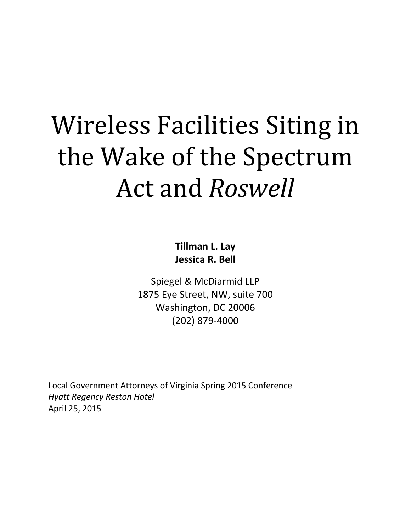# Wireless Facilities Siting in the Wake of the Spectrum Act and *Roswell*

**Tillman L. Lay Jessica R. Bell**

Spiegel & McDiarmid LLP 1875 Eye Street, NW, suite 700 Washington, DC 20006 (202) 879-4000

Local Government Attorneys of Virginia Spring 2015 Conference *Hyatt Regency Reston Hotel* April 25, 2015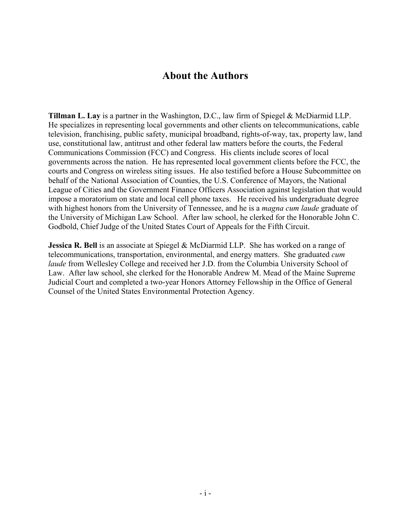# **About the Authors**

**Tillman L. Lay** is a partner in the Washington, D.C., law firm of Spiegel & McDiarmid LLP. He specializes in representing local governments and other clients on telecommunications, cable television, franchising, public safety, municipal broadband, rights-of-way, tax, property law, land use, constitutional law, antitrust and other federal law matters before the courts, the Federal Communications Commission (FCC) and Congress. His clients include scores of local governments across the nation. He has represented local government clients before the FCC, the courts and Congress on wireless siting issues. He also testified before a House Subcommittee on behalf of the National Association of Counties, the U.S. Conference of Mayors, the National League of Cities and the Government Finance Officers Association against legislation that would impose a moratorium on state and local cell phone taxes. He received his undergraduate degree with highest honors from the University of Tennessee, and he is a *magna cum laude* graduate of the University of Michigan Law School. After law school, he clerked for the Honorable John C. Godbold, Chief Judge of the United States Court of Appeals for the Fifth Circuit.

**Jessica R. Bell** is an associate at Spiegel & McDiarmid LLP. She has worked on a range of telecommunications, transportation, environmental, and energy matters. She graduated *cum laude* from Wellesley College and received her J.D. from the Columbia University School of Law. After law school, she clerked for the Honorable Andrew M. Mead of the Maine Supreme Judicial Court and completed a two-year Honors Attorney Fellowship in the Office of General Counsel of the United States Environmental Protection Agency.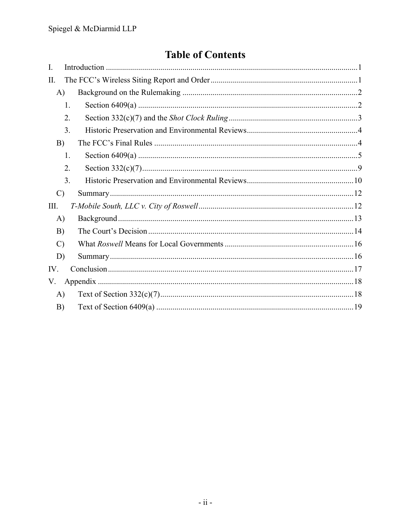# **Table of Contents**

| $\mathbf{I}$ . |    |  |
|----------------|----|--|
| II.            |    |  |
| A)             |    |  |
|                | 1. |  |
|                | 2. |  |
|                | 3. |  |
| B)             |    |  |
|                | 1. |  |
|                | 2. |  |
|                | 3. |  |
| $\mathcal{C}$  |    |  |
| Ш.             |    |  |
| $\bf{A}$       |    |  |
| B)             |    |  |
| $\mathcal{C}$  |    |  |
| D)             |    |  |
| IV.            |    |  |
| V.             |    |  |
| A)             |    |  |
| B)             |    |  |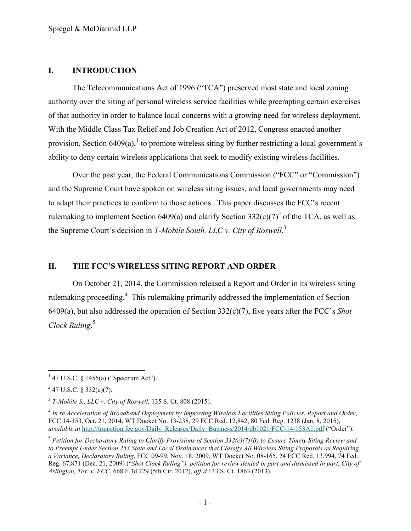#### <span id="page-3-0"></span>**I. INTRODUCTION**

The Telecommunications Act of 1996 ("TCA") preserved most state and local zoning authority over the siting of personal wireless service facilities while preempting certain exercises of that authority in order to balance local concerns with a growing need for wireless deployment. With the Middle Class Tax Relief and Job Creation Act of 2012, Congress enacted another provision, Section 6409(a), to promote wireless siting by further restricting a local government's ability to deny certain wireless applications that seek to modify existing wireless facilities.

Over the past year, the Federal Communications Commission ("FCC" or "Commission") and the Supreme Court have spoken on wireless siting issues, and local governments may need to adapt their practices to conform to those actions. This paper discusses the FCC's recent rulemaking to implement Section 6409(a) and clarify Section 332(c)(7)<sup>2</sup> of the TCA, as well as the Supreme Court's decision in *T-Mobile South, LLC v. City of Roswell*. 3

#### <span id="page-3-1"></span>**II. THE FCC'S WIRELESS SITING REPORT AND ORDER**

On October 21, 2014, the Commission released a Report and Order in its wireless siting rulemaking proceeding.<sup>4</sup> This rulemaking primarily addressed the implementation of Section 6409(a), but also addressed the operation of Section 332(c)(7), five years after the FCC's *Shot Clock Ruling*. 5

 $147$  U.S.C. § 1455(a) ("Spectrum Act").

 $^{2}$  47 U.S.C. § 332(c)(7).

<sup>3</sup> *T-Mobile S., LLC v. City of Roswell,* 135 S. Ct. 808 (2015).

<sup>4</sup> *In re Acceleration of Broadband Deployment by Improving Wireless Facilities Siting Policies*, *Report and Order*, FCC 14-153, Oct. 21, 2014, WT Docket No. 13-238, 29 FCC Rcd. 12,842, 80 Fed. Reg. 1238 (Jan. 8, 2015), *available at http://transition.fcc.gov/Daily\_Releases/Daily\_Business/2014/db1021/FCC-14-153A1.pdf ("Order").* 

<sup>5</sup> *Petition for Declaratory Ruling to Clarify Provisions of Section 332(c)(7)(B) to Ensure Timely Siting Review and to Preempt Under Section 253 State and Local Ordinances that Classify All Wireless Siting Proposals as Requiring a Variance, Declaratory Ruling*, FCC 09-99, Nov. 18, 2009, WT Docket No. 08-165, 24 FCC Rcd. 13,994, 74 Fed. Reg. 67,871 (Dec. 21, 2009) ("*Shot Clock Ruling"), petition for review denied in part and dismissed in part*, *City of Arlington, Tex. v. FCC*, 668 F.3d 229 (5th Cir. 2012), *aff'd* 133 S. Ct. 1863 (2013).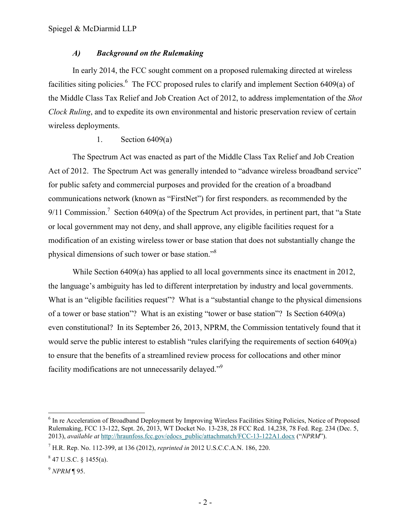### <span id="page-4-0"></span>*A) Background on the Rulemaking*

In early 2014, the FCC sought comment on a proposed rulemaking directed at wireless facilities siting policies.<sup>6</sup> The FCC proposed rules to clarify and implement Section 6409(a) of the Middle Class Tax Relief and Job Creation Act of 2012, to address implementation of the *Shot Clock Ruling*, and to expedite its own environmental and historic preservation review of certain wireless deployments.

# <span id="page-4-1"></span>1. Section 6409(a)

The Spectrum Act was enacted as part of the Middle Class Tax Relief and Job Creation Act of 2012. The Spectrum Act was generally intended to "advance wireless broadband service" for public safety and commercial purposes and provided for the creation of a broadband communications network (known as "FirstNet") for first responders. as recommended by the  $9/11$  Commission.<sup>7</sup> Section 6409(a) of the Spectrum Act provides, in pertinent part, that "a State" or local government may not deny, and shall approve, any eligible facilities request for a modification of an existing wireless tower or base station that does not substantially change the physical dimensions of such tower or base station."<sup>8</sup>

While Section 6409(a) has applied to all local governments since its enactment in 2012, the language's ambiguity has led to different interpretation by industry and local governments. What is an "eligible facilities request"? What is a "substantial change to the physical dimensions of a tower or base station"? What is an existing "tower or base station"? Is Section 6409(a) even constitutional? In its September 26, 2013, NPRM, the Commission tentatively found that it would serve the public interest to establish "rules clarifying the requirements of section 6409(a) to ensure that the benefits of a streamlined review process for collocations and other minor facility modifications are not unnecessarily delayed."<sup>9</sup>

 $\overline{a}$ <sup>6</sup> In re Acceleration of Broadband Deployment by Improving Wireless Facilities Siting Policies, Notice of Proposed Rulemaking, FCC 13-122, Sept. 26, 2013, WT Docket No. 13-238, 28 FCC Rcd. 14,238, 78 Fed. Reg. 234 (Dec. 5, 2013), *available at* http://hraunfoss.fcc.gov/edocs\_public/attachmatch/FCC-13-122A1.docx ("*NPRM*").

<sup>7</sup> H.R. Rep. No. 112-399, at 136 (2012), *reprinted in* 2012 U.S.C.C.A.N. 186, 220.

 $8$  47 U.S.C. § 1455(a).

<sup>9</sup> *NPRM* ¶ 95.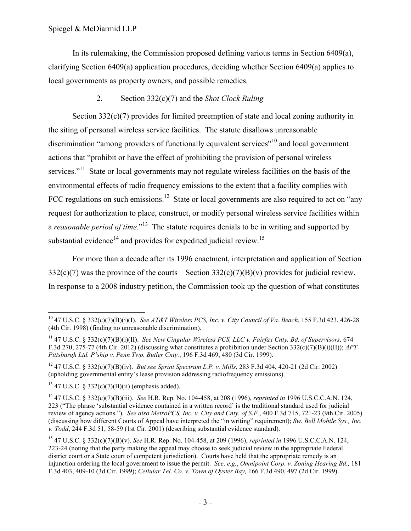In its rulemaking, the Commission proposed defining various terms in Section 6409(a), clarifying Section 6409(a) application procedures, deciding whether Section 6409(a) applies to local governments as property owners, and possible remedies.

# <span id="page-5-0"></span>2. Section 332(c)(7) and the *Shot Clock Ruling*

Section 332(c)(7) provides for limited preemption of state and local zoning authority in the siting of personal wireless service facilities. The statute disallows unreasonable discrimination "among providers of functionally equivalent services"<sup>10</sup> and local government actions that "prohibit or have the effect of prohibiting the provision of personal wireless services."<sup>11</sup> State or local governments may not regulate wireless facilities on the basis of the environmental effects of radio frequency emissions to the extent that a facility complies with FCC regulations on such emissions.<sup>12</sup> State or local governments are also required to act on "any request for authorization to place, construct, or modify personal wireless service facilities within a *reasonable period of time*."<sup>13</sup> The statute requires denials to be in writing and supported by substantial evidence<sup>14</sup> and provides for expedited judicial review.<sup>15</sup>

For more than a decade after its 1996 enactment, interpretation and application of Section 332(c)(7) was the province of the courts—Section 332(c)(7)(B)(v) provides for judicial review. In response to a 2008 industry petition, the Commission took up the question of what constitutes

 $\overline{a}$ <sup>10</sup> 47 U.S.C. § 332(c)(7)(B)(i)(I). *See AT&T Wireless PCS, Inc. v. City Council of Va. Beach*, 155 F.3d 423, 426-28 (4th Cir. 1998) (finding no unreasonable discrimination).

<sup>11</sup> 47 U.S.C. § 332(c)(7)(B)(i)(II). *See New Cingular Wireless PCS, LLC v. Fairfax Cnty. Bd. of Supervisors,* 674 F.3d 270, 275-77 (4th Cir. 2012) (discussing what constitutes a prohibition under Section 332(c)(7)(B)(i)(II)); *APT Pittsburgh Ltd. P'ship v. Penn Twp. Butler Cnty.*, 196 F.3d 469, 480 (3d Cir. 1999).

<sup>12</sup> 47 U.S.C. § 332(c)(7)(B)(iv). *But see Sprint Spectrum L.P. v. Mills*, 283 F.3d 404, 420-21 (2d Cir. 2002) (upholding governmental entity's lease provision addressing radiofrequency emissions).

 $13$  47 U.S.C. § 332(c)(7)(B)(ii) (emphasis added).

<sup>14</sup> 47 U.S.C. § 332(c)(7)(B)(iii). *See* H.R. Rep. No. 104-458, at 208 (1996), *reprinted in* 1996 U.S.C.C.A.N. 124, 223 ("The phrase 'substantial evidence contained in a written record' is the traditional standard used for judicial review of agency actions."). *See also MetroPCS, Inc. v. City and Cnty. of S.F.*, 400 F.3d 715, 721-23 (9th Cir. 2005) (discussing how different Courts of Appeal have interpreted the "in writing" requirement); *Sw. Bell Mobile Sys., Inc. v. Todd*, 244 F.3d 51, 58-59 (1st Cir. 2001) (describing substantial evidence standard).

<sup>15</sup> 47 U.S.C. § 332(c)(7)(B)(v). *See* H.R. Rep. No. 104-458, at 209 (1996), *reprinted in* 1996 U.S.C.C.A.N. 124, 223-24 (noting that the party making the appeal may choose to seek judicial review in the appropriate Federal district court or a State court of competent jurisdiction). Courts have held that the appropriate remedy is an injunction ordering the local government to issue the permit. *See, e.g.*, *Omnipoint Corp. v. Zoning Hearing Bd.,* 181 F.3d 403, 409-10 (3d Cir. 1999); *Cellular Tel. Co. v. Town of Oyster Bay,* 166 F.3d 490, 497 (2d Cir. 1999).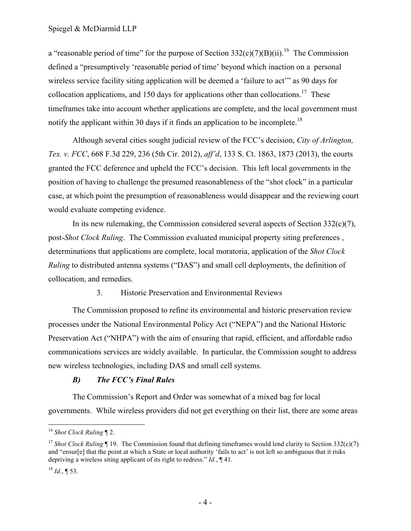a "reasonable period of time" for the purpose of Section  $332(c)(7)(B)(ii)$ .<sup>16</sup> The Commission defined a "presumptively 'reasonable period of time' beyond which inaction on a personal wireless service facility siting application will be deemed a 'failure to act'" as 90 days for collocation applications, and 150 days for applications other than collocations.<sup>17</sup> These timeframes take into account whether applications are complete, and the local government must notify the applicant within 30 days if it finds an application to be incomplete.<sup>18</sup>

Although several cities sought judicial review of the FCC's decision, *City of Arlington, Tex. v. FCC*, 668 F.3d 229, 236 (5th Cir. 2012), *aff'd*, 133 S. Ct. 1863, 1873 (2013), the courts granted the FCC deference and upheld the FCC's decision. This left local governments in the position of having to challenge the presumed reasonableness of the "shot clock" in a particular case, at which point the presumption of reasonableness would disappear and the reviewing court would evaluate competing evidence.

In its new rulemaking, the Commission considered several aspects of Section 332(c)(7), post-*Shot Clock Ruling*. The Commission evaluated municipal property siting preferences , determinations that applications are complete, local moratoria, application of the *Shot Clock Ruling* to distributed antenna systems ("DAS") and small cell deployments, the definition of collocation, and remedies.

<span id="page-6-0"></span>3. Historic Preservation and Environmental Reviews

The Commission proposed to refine its environmental and historic preservation review processes under the National Environmental Policy Act ("NEPA") and the National Historic Preservation Act ("NHPA") with the aim of ensuring that rapid, efficient, and affordable radio communications services are widely available. In particular, the Commission sought to address new wireless technologies, including DAS and small cell systems.

# <span id="page-6-1"></span>*B) The FCC's Final Rules*

The Commission's Report and Order was somewhat of a mixed bag for local governments. While wireless providers did not get everything on their list, there are some areas

 $\overline{a}$ <sup>16</sup> *Shot Clock Ruling* ¶ 2.

<sup>&</sup>lt;sup>17</sup> *Shot Clock Ruling*  $\P$  19. The Commission found that defining timeframes would lend clarity to Section 332(c)(7) and "ensur[e] that the point at which a State or local authority 'fails to act' is not left so ambiguous that it risks depriving a wireless siting applicant of its right to redress." *Id.*, ¶ 41.

 $^{18}$  *Id.*, ¶ 53.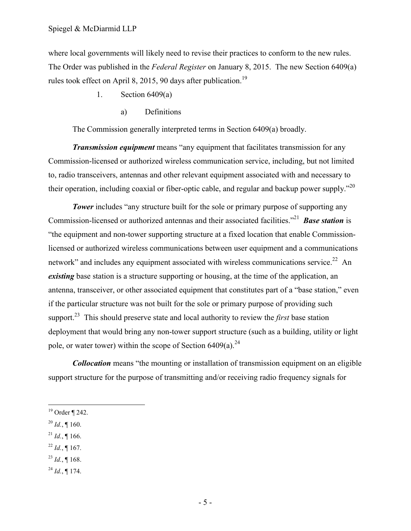where local governments will likely need to revise their practices to conform to the new rules. The Order was published in the *Federal Register* on January 8, 2015. The new Section 6409(a) rules took effect on April 8, 2015, 90 days after publication.<sup>19</sup>

- <span id="page-7-0"></span>1. Section 6409(a)
	- a) Definitions

The Commission generally interpreted terms in Section 6409(a) broadly.

*Transmission equipment* means "any equipment that facilitates transmission for any Commission-licensed or authorized wireless communication service, including, but not limited to, radio transceivers, antennas and other relevant equipment associated with and necessary to their operation, including coaxial or fiber-optic cable, and regular and backup power supply."<sup>20</sup>

**Tower** includes "any structure built for the sole or primary purpose of supporting any Commission-licensed or authorized antennas and their associated facilities.<sup>"21</sup> **Base station** is "the equipment and non-tower supporting structure at a fixed location that enable Commissionlicensed or authorized wireless communications between user equipment and a communications network" and includes any equipment associated with wireless communications service.<sup>22</sup> An *existing* base station is a structure supporting or housing, at the time of the application, an antenna, transceiver, or other associated equipment that constitutes part of a "base station," even if the particular structure was not built for the sole or primary purpose of providing such support.<sup>23</sup> This should preserve state and local authority to review the *first* base station deployment that would bring any non-tower support structure (such as a building, utility or light pole, or water tower) within the scope of Section  $6409(a)$ .<sup>24</sup>

*Collocation* means "the mounting or installation of transmission equipment on an eligible support structure for the purpose of transmitting and/or receiving radio frequency signals for

 $^{20}$  *Id.*, ¶ 160.

- $^{21}$  *Id.*, ¶ 166.
- $^{22}$  *Id.*, ¶ 167.
- $^{23}$  *Id.*, ¶ 168.
- $^{24}$  *Id.*, ¶ 174.

<sup>19</sup> Order ¶ 242.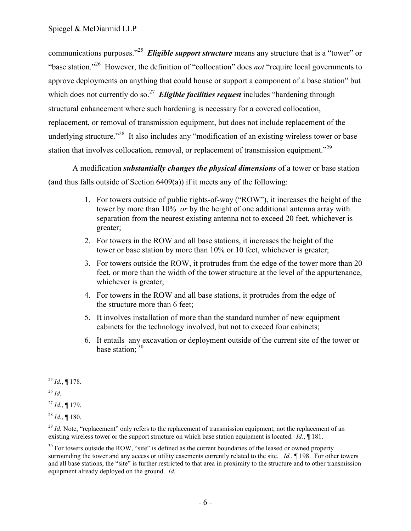communications purposes."<sup>25</sup> *Eligible support structure* means any structure that is a "tower" or "base station."<sup>26</sup> However, the definition of "collocation" does *not* "require local governments to approve deployments on anything that could house or support a component of a base station" but which does not currently do so.<sup>27</sup> Eligible facilities request includes "hardening through structural enhancement where such hardening is necessary for a covered collocation, replacement, or removal of transmission equipment, but does not include replacement of the underlying structure."<sup>28</sup> It also includes any "modification of an existing wireless tower or base station that involves collocation, removal, or replacement of transmission equipment."<sup>29</sup>

A modification *substantially changes the physical dimensions* of a tower or base station (and thus falls outside of Section 6409(a)) if it meets any of the following:

- 1. For towers outside of public rights-of-way ("ROW"), it increases the height of the tower by more than 10% *or* by the height of one additional antenna array with separation from the nearest existing antenna not to exceed 20 feet, whichever is greater;
- 2. For towers in the ROW and all base stations, it increases the height of the tower or base station by more than 10% or 10 feet, whichever is greater;
- 3. For towers outside the ROW, it protrudes from the edge of the tower more than 20 feet, or more than the width of the tower structure at the level of the appurtenance, whichever is greater;
- 4. For towers in the ROW and all base stations, it protrudes from the edge of the structure more than 6 feet;
- 5. It involves installation of more than the standard number of new equipment cabinets for the technology involved, but not to exceed four cabinets;
- 6. It entails any excavation or deployment outside of the current site of the tower or base station;<sup>30</sup>

<sup>26</sup> *Id.*

 $\overline{a}$  $^{25}$  *Id.*, ¶ 178.

 $^{27}$  *Id.*, ¶ 179.

 $^{28}$  *Id.*, ¶ 180.

<sup>&</sup>lt;sup>29</sup> *Id.* Note, "replacement" only refers to the replacement of transmission equipment, not the replacement of an existing wireless tower or the support structure on which base station equipment is located. *Id.*, ¶ 181.

 $30$  For towers outside the ROW, "site" is defined as the current boundaries of the leased or owned property surrounding the tower and any access or utility easements currently related to the site. *Id.*, ¶ 198. For other towers and all base stations, the "site" is further restricted to that area in proximity to the structure and to other transmission equipment already deployed on the ground. *Id.*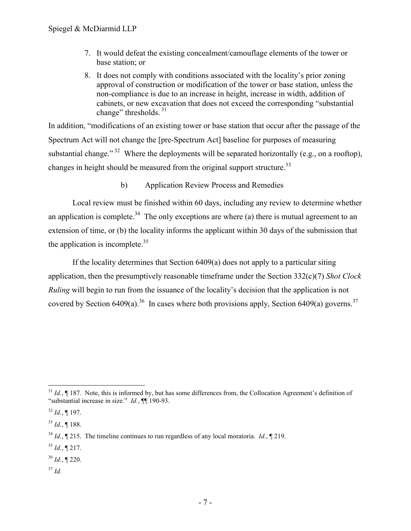- 7. It would defeat the existing concealment/camouflage elements of the tower or base station; or
- 8. It does not comply with conditions associated with the locality's prior zoning approval of construction or modification of the tower or base station, unless the non-compliance is due to an increase in height, increase in width, addition of cabinets, or new excavation that does not exceed the corresponding "substantial change" thresholds.<sup>31</sup>

In addition, "modifications of an existing tower or base station that occur after the passage of the Spectrum Act will not change the [pre-Spectrum Act] baseline for purposes of measuring substantial change."<sup>32</sup> Where the deployments will be separated horizontally (e.g., on a rooftop), changes in height should be measured from the original support structure.<sup>33</sup>

b) Application Review Process and Remedies

Local review must be finished within 60 days, including any review to determine whether an application is complete.<sup>34</sup> The only exceptions are where (a) there is mutual agreement to an extension of time, or (b) the locality informs the applicant within 30 days of the submission that the application is incomplete. $35$ 

If the locality determines that Section 6409(a) does not apply to a particular siting application, then the presumptively reasonable timeframe under the Section 332(c)(7) *Shot Clock Ruling* will begin to run from the issuance of the locality's decision that the application is not covered by Section 6409(a).<sup>36</sup> In cases where both provisions apply, Section 6409(a) governs.<sup>37</sup>

 $^{35}$  *Id.*, 1217.

<sup>37</sup> *Id.*

 $\overline{a}$  $31$  *Id.*,  $\P$  187. Note, this is informed by, but has some differences from, the Collocation Agreement's definition of "substantial increase in size." *Id.*, ¶¶ 190-93.

 $32$  *Id.*, 197.

<sup>33</sup> *Id.*, ¶ 188.

<sup>34</sup> *Id.*, ¶ 215. The timeline continues to run regardless of any local moratoria. *Id.*, ¶ 219.

<sup>36</sup> *Id.*, ¶ 220.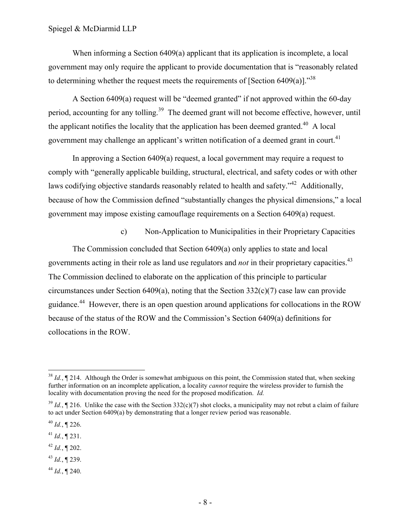When informing a Section 6409(a) applicant that its application is incomplete, a local government may only require the applicant to provide documentation that is "reasonably related to determining whether the request meets the requirements of [Section 6409(a)].<sup>338</sup>

A Section 6409(a) request will be "deemed granted" if not approved within the 60-day period, accounting for any tolling.<sup>39</sup> The deemed grant will not become effective, however, until the applicant notifies the locality that the application has been deemed granted.<sup>40</sup> A local government may challenge an applicant's written notification of a deemed grant in court.<sup>41</sup>

In approving a Section 6409(a) request, a local government may require a request to comply with "generally applicable building, structural, electrical, and safety codes or with other laws codifying objective standards reasonably related to health and safety."<sup>42</sup> Additionally, because of how the Commission defined "substantially changes the physical dimensions," a local government may impose existing camouflage requirements on a Section 6409(a) request.

c) Non-Application to Municipalities in their Proprietary Capacities

The Commission concluded that Section 6409(a) only applies to state and local governments acting in their role as land use regulators and *not* in their proprietary capacities.<sup>43</sup> The Commission declined to elaborate on the application of this principle to particular circumstances under Section 6409(a), noting that the Section  $332(c)(7)$  case law can provide guidance.<sup>44</sup> However, there is an open question around applications for collocations in the ROW because of the status of the ROW and the Commission's Section 6409(a) definitions for collocations in the ROW.

- $42$  *Id.*, **[202.**]
- <sup>43</sup> *Id.*, ¶ 239.
- <sup>44</sup> *Id.*, ¶ 240.

<sup>&</sup>lt;sup>38</sup> *Id.*,  $\P$  214. Although the Order is somewhat ambiguous on this point, the Commission stated that, when seeking further information on an incomplete application, a locality *cannot* require the wireless provider to furnish the locality with documentation proving the need for the proposed modification. *Id.*

 $39$  *Id.*,  $\P$  216. Unlike the case with the Section 332(c)(7) shot clocks, a municipality may not rebut a claim of failure to act under Section 6409(a) by demonstrating that a longer review period was reasonable.

 $^{40}$  *Id.*, ¶ 226.

 $^{41}$  *Id.*, ¶ 231.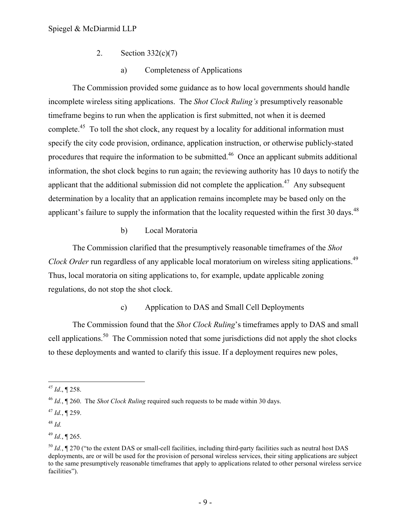- <span id="page-11-0"></span>2. Section 332(c)(7)
	- a) Completeness of Applications

The Commission provided some guidance as to how local governments should handle incomplete wireless siting applications. The *Shot Clock Ruling's* presumptively reasonable timeframe begins to run when the application is first submitted, not when it is deemed complete.<sup>45</sup> To toll the shot clock, any request by a locality for additional information must specify the city code provision, ordinance, application instruction, or otherwise publicly-stated procedures that require the information to be submitted.<sup>46</sup> Once an applicant submits additional information, the shot clock begins to run again; the reviewing authority has 10 days to notify the applicant that the additional submission did not complete the application.<sup>47</sup> Any subsequent determination by a locality that an application remains incomplete may be based only on the applicant's failure to supply the information that the locality requested within the first 30 days.  $48$ 

#### b) Local Moratoria

The Commission clarified that the presumptively reasonable timeframes of the *Shot Clock Order* run regardless of any applicable local moratorium on wireless siting applications. 49 Thus, local moratoria on siting applications to, for example, update applicable zoning regulations, do not stop the shot clock.

#### c) Application to DAS and Small Cell Deployments

The Commission found that the *Shot Clock Ruling*'s timeframes apply to DAS and small cell applications.<sup>50</sup> The Commission noted that some jurisdictions did not apply the shot clocks to these deployments and wanted to clarify this issue. If a deployment requires new poles,

*<sup>45</sup> Id*., ¶ 258.

<sup>46</sup> *Id.*, ¶ 260. The *Shot Clock Ruling* required such requests to be made within 30 days.

 $47$  *Id.*, ¶ 259.

<sup>48</sup> *Id.*

<sup>49</sup> *Id.*, ¶ 265.

<sup>50</sup> *Id.*, ¶ 270 ("to the extent DAS or small-cell facilities, including third-party facilities such as neutral host DAS deployments, are or will be used for the provision of personal wireless services, their siting applications are subject to the same presumptively reasonable timeframes that apply to applications related to other personal wireless service facilities").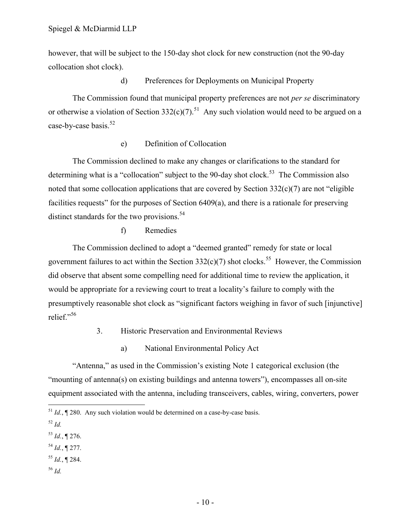however, that will be subject to the 150-day shot clock for new construction (not the 90-day collocation shot clock).

#### d) Preferences for Deployments on Municipal Property

The Commission found that municipal property preferences are not *per se* discriminatory or otherwise a violation of Section 332(c)(7).<sup>51</sup> Any such violation would need to be argued on a case-by-case basis.<sup>52</sup>

# e) Definition of Collocation

The Commission declined to make any changes or clarifications to the standard for determining what is a "collocation" subject to the 90-day shot clock.<sup>53</sup> The Commission also noted that some collocation applications that are covered by Section 332(c)(7) are not "eligible facilities requests" for the purposes of Section 6409(a), and there is a rationale for preserving distinct standards for the two provisions. $54$ 

#### f) Remedies

The Commission declined to adopt a "deemed granted" remedy for state or local government failures to act within the Section  $332(c)(7)$  shot clocks.<sup>55</sup> However, the Commission did observe that absent some compelling need for additional time to review the application, it would be appropriate for a reviewing court to treat a locality's failure to comply with the presumptively reasonable shot clock as "significant factors weighing in favor of such [injunctive] relief."<sup>56</sup>

- <span id="page-12-0"></span>3. Historic Preservation and Environmental Reviews
	- a) National Environmental Policy Act

"Antenna," as used in the Commission's existing Note 1 categorical exclusion (the "mounting of antenna(s) on existing buildings and antenna towers"), encompasses all on-site equipment associated with the antenna, including transceivers, cables, wiring, converters, power

- <sup>54</sup> *Id.*, ¶ 277.
- <sup>55</sup> *Id.*, ¶ 284.
- <sup>56</sup> *Id.*

 $\overline{a}$  $^{51}$  *Id.*,  $\sqrt{\phantom{a}}$  280. Any such violation would be determined on a case-by-case basis.

<sup>52</sup> *Id.*

<sup>53</sup> *Id.*, ¶ 276.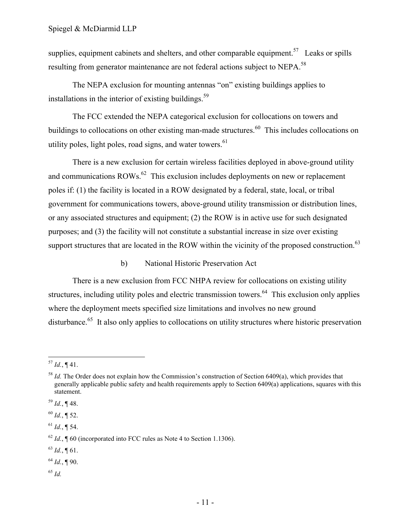supplies, equipment cabinets and shelters, and other comparable equipment.<sup>57</sup> Leaks or spills resulting from generator maintenance are not federal actions subject to NEPA.<sup>58</sup>

The NEPA exclusion for mounting antennas "on" existing buildings applies to installations in the interior of existing buildings. $59$ 

The FCC extended the NEPA categorical exclusion for collocations on towers and buildings to collocations on other existing man-made structures.<sup>60</sup> This includes collocations on utility poles, light poles, road signs, and water towers. $61$ 

There is a new exclusion for certain wireless facilities deployed in above-ground utility and communications  $\text{ROWs}^{62}$  This exclusion includes deployments on new or replacement poles if: (1) the facility is located in a ROW designated by a federal, state, local, or tribal government for communications towers, above-ground utility transmission or distribution lines, or any associated structures and equipment; (2) the ROW is in active use for such designated purposes; and (3) the facility will not constitute a substantial increase in size over existing support structures that are located in the ROW within the vicinity of the proposed construction.<sup>63</sup>

#### b) National Historic Preservation Act

There is a new exclusion from FCC NHPA review for collocations on existing utility structures, including utility poles and electric transmission towers.<sup>64</sup> This exclusion only applies where the deployment meets specified size limitations and involves no new ground disturbance.<sup>65</sup> It also only applies to collocations on utility structures where historic preservation

 $^{63}$  *Id.*, ¶ 61.

<sup>65</sup> *Id.*

 $\overline{a}$  $^{57}$  *Id.*, ¶ 41.

<sup>&</sup>lt;sup>58</sup> *Id.* The Order does not explain how the Commission's construction of Section 6409(a), which provides that generally applicable public safety and health requirements apply to Section 6409(a) applications, squares with this statement.

 $^{59}$  *Id.*, ¶ 48.

 $60$  *Id.*, **[** 52.

 $^{61}$  *Id.*, ¶ 54.

 $62$  *Id.*,  $\sqrt{ }$  60 (incorporated into FCC rules as Note 4 to Section 1.1306).

<sup>64</sup> *Id.*, ¶ 90.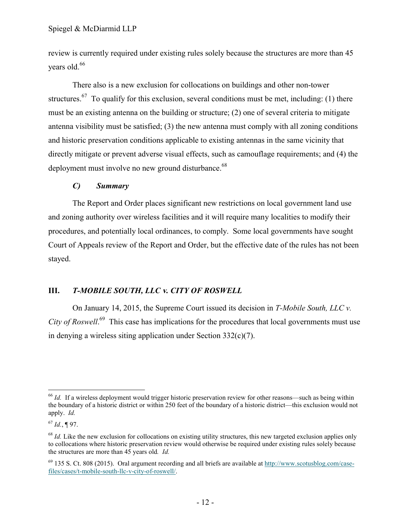review is currently required under existing rules solely because the structures are more than 45 years old.<sup>66</sup>

There also is a new exclusion for collocations on buildings and other non-tower structures.<sup>67</sup> To qualify for this exclusion, several conditions must be met, including: (1) there must be an existing antenna on the building or structure; (2) one of several criteria to mitigate antenna visibility must be satisfied; (3) the new antenna must comply with all zoning conditions and historic preservation conditions applicable to existing antennas in the same vicinity that directly mitigate or prevent adverse visual effects, such as camouflage requirements; and (4) the deployment must involve no new ground disturbance.<sup>68</sup>

#### <span id="page-14-0"></span>*C) Summary*

The Report and Order places significant new restrictions on local government land use and zoning authority over wireless facilities and it will require many localities to modify their procedures, and potentially local ordinances, to comply. Some local governments have sought Court of Appeals review of the Report and Order, but the effective date of the rules has not been stayed.

#### <span id="page-14-1"></span>**III.** *T-MOBILE SOUTH, LLC* **v***. CITY OF ROSWELL*

On January 14, 2015, the Supreme Court issued its decision in *T-Mobile South, LLC v.*  City of Roswell.<sup>69</sup> This case has implications for the procedures that local governments must use in denying a wireless siting application under Section 332(c)(7).

 $\overline{a}$ <sup>66</sup> *Id.* If a wireless deployment would trigger historic preservation review for other reasons—such as being within the boundary of a historic district or within 250 feet of the boundary of a historic district—this exclusion would not apply. *Id.*

<sup>67</sup> *Id.*, ¶ 97.

<sup>&</sup>lt;sup>68</sup> *Id.* Like the new exclusion for collocations on existing utility structures, this new targeted exclusion applies only to collocations where historic preservation review would otherwise be required under existing rules solely because the structures are more than 45 years old*. Id.*

 $^{69}$  135 S. Ct. 808 (2015). Oral argument recording and all briefs are available at http://www.scotusblog.com/casefiles/cases/t-mobile-south-llc-v-city-of-roswell/.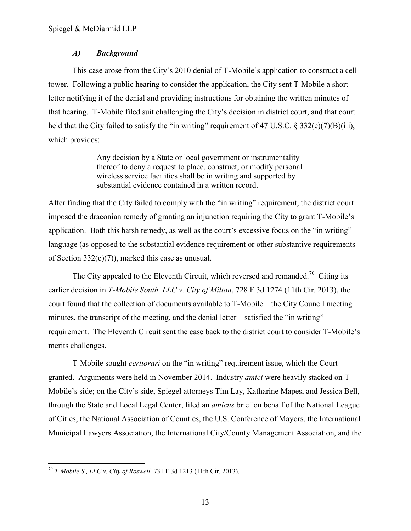# <span id="page-15-0"></span>*A) Background*

This case arose from the City's 2010 denial of T-Mobile's application to construct a cell tower. Following a public hearing to consider the application, the City sent T-Mobile a short letter notifying it of the denial and providing instructions for obtaining the written minutes of that hearing. T-Mobile filed suit challenging the City's decision in district court, and that court held that the City failed to satisfy the "in writing" requirement of 47 U.S.C. § 332(c)(7)(B)(iii), which provides:

> Any decision by a State or local government or instrumentality thereof to deny a request to place, construct, or modify personal wireless service facilities shall be in writing and supported by substantial evidence contained in a written record.

After finding that the City failed to comply with the "in writing" requirement, the district court imposed the draconian remedy of granting an injunction requiring the City to grant T-Mobile's application. Both this harsh remedy, as well as the court's excessive focus on the "in writing" language (as opposed to the substantial evidence requirement or other substantive requirements of Section 332(c)(7)), marked this case as unusual.

The City appealed to the Eleventh Circuit, which reversed and remanded.<sup>70</sup> Citing its earlier decision in *T-Mobile South, LLC v. City of Milton*, 728 F.3d 1274 (11th Cir. 2013), the court found that the collection of documents available to T-Mobile—the City Council meeting minutes, the transcript of the meeting, and the denial letter—satisfied the "in writing" requirement. The Eleventh Circuit sent the case back to the district court to consider T-Mobile's merits challenges.

T-Mobile sought *certiorari* on the "in writing" requirement issue, which the Court granted. Arguments were held in November 2014. Industry *amici* were heavily stacked on T-Mobile's side; on the City's side, Spiegel attorneys Tim Lay, Katharine Mapes, and Jessica Bell, through the State and Local Legal Center, filed an *amicus* brief on behalf of the National League of Cities, the National Association of Counties, the U.S. Conference of Mayors, the International Municipal Lawyers Association, the International City/County Management Association, and the

 $\overline{a}$ <sup>70</sup> *T-Mobile S., LLC v. City of Roswell,* 731 F.3d 1213 (11th Cir. 2013).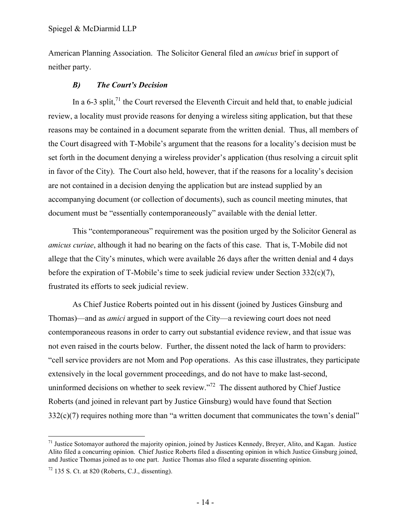American Planning Association. The Solicitor General filed an *amicus* brief in support of neither party.

# <span id="page-16-0"></span>*B) The Court's Decision*

In a 6-3 split, $^{71}$  the Court reversed the Eleventh Circuit and held that, to enable judicial review, a locality must provide reasons for denying a wireless siting application, but that these reasons may be contained in a document separate from the written denial. Thus, all members of the Court disagreed with T-Mobile's argument that the reasons for a locality's decision must be set forth in the document denying a wireless provider's application (thus resolving a circuit split in favor of the City). The Court also held, however, that if the reasons for a locality's decision are not contained in a decision denying the application but are instead supplied by an accompanying document (or collection of documents), such as council meeting minutes, that document must be "essentially contemporaneously" available with the denial letter.

This "contemporaneous" requirement was the position urged by the Solicitor General as *amicus curiae*, although it had no bearing on the facts of this case. That is, T-Mobile did not allege that the City's minutes, which were available 26 days after the written denial and 4 days before the expiration of T-Mobile's time to seek judicial review under Section 332(c)(7), frustrated its efforts to seek judicial review.

As Chief Justice Roberts pointed out in his dissent (joined by Justices Ginsburg and Thomas)—and as *amici* argued in support of the City—a reviewing court does not need contemporaneous reasons in order to carry out substantial evidence review, and that issue was not even raised in the courts below. Further, the dissent noted the lack of harm to providers: "cell service providers are not Mom and Pop operations. As this case illustrates, they participate extensively in the local government proceedings, and do not have to make last-second, uninformed decisions on whether to seek review."<sup>72</sup> The dissent authored by Chief Justice Roberts (and joined in relevant part by Justice Ginsburg) would have found that Section 332(c)(7) requires nothing more than "a written document that communicates the town's denial"

<sup>&</sup>lt;sup>71</sup> Justice Sotomayor authored the majority opinion, joined by Justices Kennedy, Breyer, Alito, and Kagan. Justice Alito filed a concurring opinion. Chief Justice Roberts filed a dissenting opinion in which Justice Ginsburg joined, and Justice Thomas joined as to one part. Justice Thomas also filed a separate dissenting opinion.

 $72$  135 S. Ct. at 820 (Roberts, C.J., dissenting).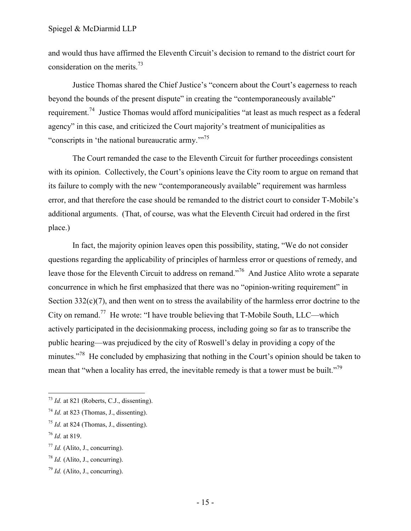and would thus have affirmed the Eleventh Circuit's decision to remand to the district court for consideration on the merits.<sup>73</sup>

Justice Thomas shared the Chief Justice's "concern about the Court's eagerness to reach beyond the bounds of the present dispute" in creating the "contemporaneously available" requirement.<sup>74</sup> Justice Thomas would afford municipalities "at least as much respect as a federal agency" in this case, and criticized the Court majority's treatment of municipalities as "conscripts in 'the national bureaucratic army."<sup>75</sup>

The Court remanded the case to the Eleventh Circuit for further proceedings consistent with its opinion. Collectively, the Court's opinions leave the City room to argue on remand that its failure to comply with the new "contemporaneously available" requirement was harmless error, and that therefore the case should be remanded to the district court to consider T-Mobile's additional arguments. (That, of course, was what the Eleventh Circuit had ordered in the first place.)

In fact, the majority opinion leaves open this possibility, stating, "We do not consider questions regarding the applicability of principles of harmless error or questions of remedy, and leave those for the Eleventh Circuit to address on remand."<sup>76</sup> And Justice Alito wrote a separate concurrence in which he first emphasized that there was no "opinion-writing requirement" in Section  $332(c)(7)$ , and then went on to stress the availability of the harmless error doctrine to the City on remand.<sup>77</sup> He wrote: "I have trouble believing that T-Mobile South, LLC—which actively participated in the decisionmaking process, including going so far as to transcribe the public hearing—was prejudiced by the city of Roswell's delay in providing a copy of the minutes."<sup>78</sup> He concluded by emphasizing that nothing in the Court's opinion should be taken to mean that "when a locality has erred, the inevitable remedy is that a tower must be built."<sup>79</sup>

<sup>73</sup> *Id.* at 821 (Roberts, C.J., dissenting).

 $^{74}$  *Id.* at 823 (Thomas, J., dissenting).

 $^{75}$  *Id.* at 824 (Thomas, J., dissenting).

<sup>76</sup> *Id.* at 819.

 $^{77}$  *Id.* (Alito, J., concurring).

<sup>78</sup> *Id.* (Alito, J., concurring).

<sup>79</sup> *Id.* (Alito, J., concurring).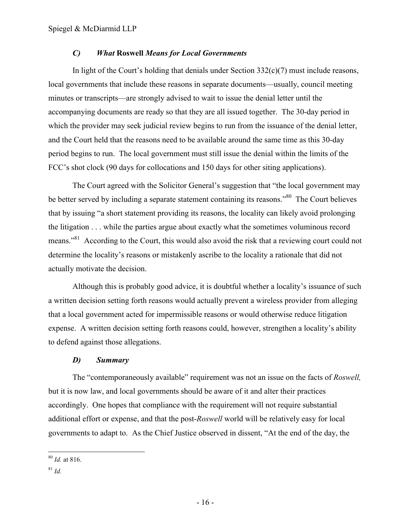#### <span id="page-18-0"></span>*C) What* **Roswell** *Means for Local Governments*

In light of the Court's holding that denials under Section 332(c)(7) must include reasons, local governments that include these reasons in separate documents—usually, council meeting minutes or transcripts—are strongly advised to wait to issue the denial letter until the accompanying documents are ready so that they are all issued together. The 30-day period in which the provider may seek judicial review begins to run from the issuance of the denial letter, and the Court held that the reasons need to be available around the same time as this 30-day period begins to run. The local government must still issue the denial within the limits of the FCC's shot clock (90 days for collocations and 150 days for other siting applications).

The Court agreed with the Solicitor General's suggestion that "the local government may be better served by including a separate statement containing its reasons."<sup>80</sup> The Court believes that by issuing "a short statement providing its reasons, the locality can likely avoid prolonging the litigation . . . while the parties argue about exactly what the sometimes voluminous record means."<sup>81</sup> According to the Court, this would also avoid the risk that a reviewing court could not determine the locality's reasons or mistakenly ascribe to the locality a rationale that did not actually motivate the decision.

Although this is probably good advice, it is doubtful whether a locality's issuance of such a written decision setting forth reasons would actually prevent a wireless provider from alleging that a local government acted for impermissible reasons or would otherwise reduce litigation expense. A written decision setting forth reasons could, however, strengthen a locality's ability to defend against those allegations.

#### <span id="page-18-1"></span>*D) Summary*

The "contemporaneously available" requirement was not an issue on the facts of *Roswell,*  but it is now law, and local governments should be aware of it and alter their practices accordingly. One hopes that compliance with the requirement will not require substantial additional effort or expense, and that the post-*Roswell* world will be relatively easy for local governments to adapt to. As the Chief Justice observed in dissent, "At the end of the day, the

<sup>80</sup> *Id.* at 816.

<sup>81</sup> *Id.*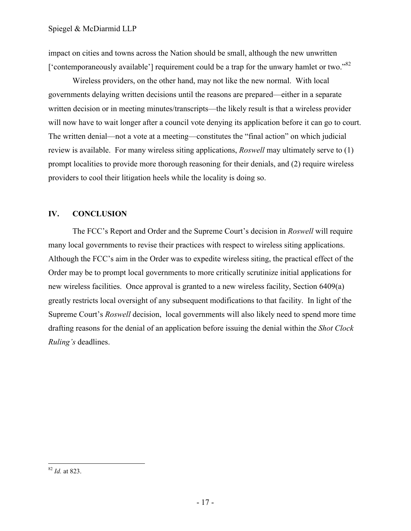impact on cities and towns across the Nation should be small, although the new unwritten ['contemporaneously available'] requirement could be a trap for the unwary hamlet or two." $82$ 

Wireless providers, on the other hand, may not like the new normal. With local governments delaying written decisions until the reasons are prepared—either in a separate written decision or in meeting minutes/transcripts—the likely result is that a wireless provider will now have to wait longer after a council vote denying its application before it can go to court. The written denial—not a vote at a meeting—constitutes the "final action" on which judicial review is available. For many wireless siting applications, *Roswell* may ultimately serve to (1) prompt localities to provide more thorough reasoning for their denials, and (2) require wireless providers to cool their litigation heels while the locality is doing so.

# <span id="page-19-0"></span>**IV. CONCLUSION**

The FCC's Report and Order and the Supreme Court's decision in *Roswell* will require many local governments to revise their practices with respect to wireless siting applications. Although the FCC's aim in the Order was to expedite wireless siting, the practical effect of the Order may be to prompt local governments to more critically scrutinize initial applications for new wireless facilities. Once approval is granted to a new wireless facility, Section 6409(a) greatly restricts local oversight of any subsequent modifications to that facility. In light of the Supreme Court's *Roswell* decision, local governments will also likely need to spend more time drafting reasons for the denial of an application before issuing the denial within the *Shot Clock Ruling's* deadlines.

<sup>82</sup> *Id.* at 823.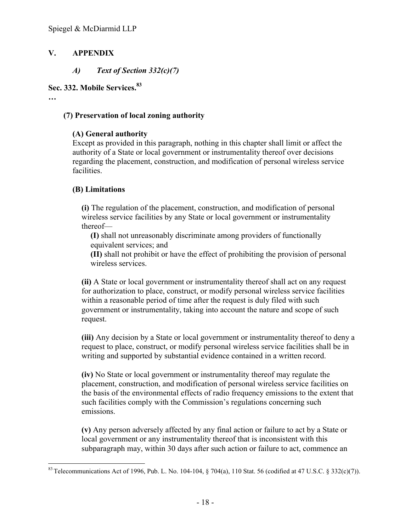# **V. APPENDIX**

<span id="page-20-1"></span><span id="page-20-0"></span>*A) Text of Section 332(c)(7)*

# **Sec. 332. Mobile Services.<sup>83</sup>**

**…**

# **(7) Preservation of local zoning authority**

# **(A) General authority**

Except as provided in this paragraph, nothing in this chapter shall limit or affect the authority of a State or local government or instrumentality thereof over decisions regarding the placement, construction, and modification of personal wireless service facilities.

# **(B) Limitations**

**(i)** The regulation of the placement, construction, and modification of personal wireless service facilities by any State or local government or instrumentality thereof—

**(I)** shall not unreasonably discriminate among providers of functionally equivalent services; and

**(II)** shall not prohibit or have the effect of prohibiting the provision of personal wireless services.

**(ii)** A State or local government or instrumentality thereof shall act on any request for authorization to place, construct, or modify personal wireless service facilities within a reasonable period of time after the request is duly filed with such government or instrumentality, taking into account the nature and scope of such request.

**(iii)** Any decision by a State or local government or instrumentality thereof to deny a request to place, construct, or modify personal wireless service facilities shall be in writing and supported by substantial evidence contained in a written record.

**(iv)** No State or local government or instrumentality thereof may regulate the placement, construction, and modification of personal wireless service facilities on the basis of the environmental effects of radio frequency emissions to the extent that such facilities comply with the Commission's regulations concerning such emissions.

**(v)** Any person adversely affected by any final action or failure to act by a State or local government or any instrumentality thereof that is inconsistent with this subparagraph may, within 30 days after such action or failure to act, commence an

 $\overline{a}$ <sup>83</sup> Telecommunications Act of 1996, Pub. L. No. 104-104,  $\S 704(a)$ , 110 Stat. 56 (codified at 47 U.S.C.  $\S 332(c)(7)$ ).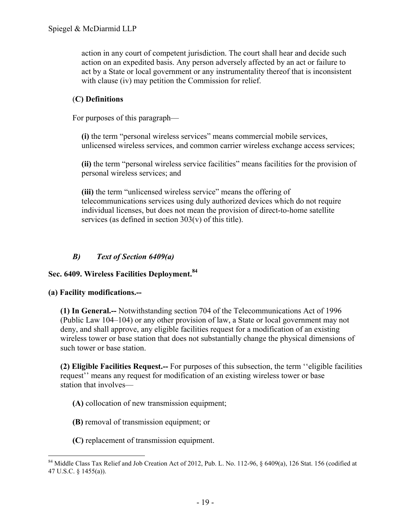action in any court of competent jurisdiction. The court shall hear and decide such action on an expedited basis. Any person adversely affected by an act or failure to act by a State or local government or any instrumentality thereof that is inconsistent with clause (iv) may petition the Commission for relief.

# (**C) Definitions**

For purposes of this paragraph—

**(i)** the term "personal wireless services" means commercial mobile services, unlicensed wireless services, and common carrier wireless exchange access services;

**(ii)** the term "personal wireless service facilities" means facilities for the provision of personal wireless services; and

**(iii)** the term "unlicensed wireless service" means the offering of telecommunications services using duly authorized devices which do not require individual licenses, but does not mean the provision of direct-to-home satellite services (as defined in section 303(v) of this title).

# <span id="page-21-0"></span>*B) Text of Section 6409(a)*

# **Sec. 6409. Wireless Facilities Deployment.<sup>84</sup>**

#### **(a) Facility modifications.--**

 $\overline{a}$ 

**(1) In General.--** Notwithstanding section 704 of the Telecommunications Act of 1996 (Public Law 104–104) or any other provision of law, a State or local government may not deny, and shall approve, any eligible facilities request for a modification of an existing wireless tower or base station that does not substantially change the physical dimensions of such tower or base station

**(2) Eligible Facilities Request.--** For purposes of this subsection, the term ''eligible facilities request'' means any request for modification of an existing wireless tower or base station that involves—

**(A)** collocation of new transmission equipment;

- **(B)** removal of transmission equipment; or
- **(C)** replacement of transmission equipment.

<sup>&</sup>lt;sup>84</sup> Middle Class Tax Relief and Job Creation Act of 2012, Pub. L. No. 112-96, § 6409(a), 126 Stat. 156 (codified at 47 U.S.C. § 1455(a)).